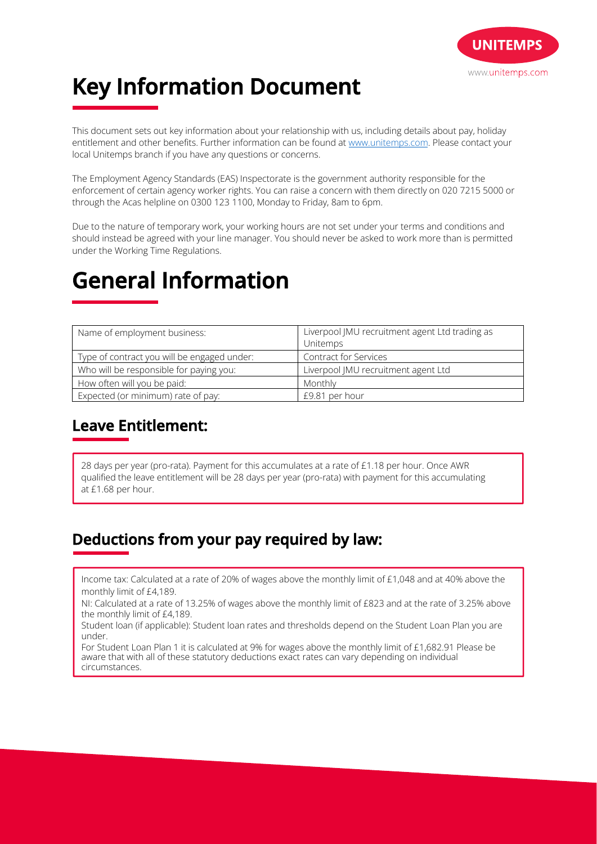

# **Key Information Document**

This document sets out key information about your relationship with us, including details about pay, holiday entitlement and other benefits. Further information can be found at www.unitemps.com. Please contact your local Unitemps branch if you have any questions or concerns.

The Employment Agency Standards (EAS) Inspectorate is the government authority responsible for the enforcement of certain agency worker rights. You can raise a concern with them directly on 020 7215 5000 or through the Acas helpline on 0300 123 1100, Monday to Friday, 8am to 6pm.

Due to the nature of temporary work, your working hours are not set under your terms and conditions and should instead be agreed with your line manager. You should never be asked to work more than is permitted under the Working Time Regulations.

## **General Information**

| Name of employment business:                | Liverpool JMU recruitment agent Ltd trading as<br>Unitemps |
|---------------------------------------------|------------------------------------------------------------|
| Type of contract you will be engaged under: | <b>Contract for Services</b>                               |
| Who will be responsible for paying you:     | Liverpool JMU recruitment agent Ltd                        |
| How often will you be paid:                 | Monthly                                                    |
| Expected (or minimum) rate of pay:          | £9.81 per hour                                             |

## **Leave Entitlement:**

28 days per year (pro-rata). Payment for this accumulates at a rate of £1.18 per hour. Once AWR qualified the leave entitlement will be 28 days per year (pro-rata) with payment for this accumulating at £1.68 per hour.

## **Deductions from your pay required by law:**

Income tax: Calculated at a rate of 20% of wages above the monthly limit of £1,048 and at 40% above the monthly limit of £4,189.

NI: Calculated at a rate of 13.25% of wages above the monthly limit of £823 and at the rate of 3.25% above the monthly limit of £4,189.

Student loan (if applicable): Student loan rates and thresholds depend on the Student Loan Plan you are under.

For Student Loan Plan 1 it is calculated at 9% for wages above the monthly limit of £1,682.91 Please be aware that with all of these statutory deductions exact rates can vary depending on individual circumstances.